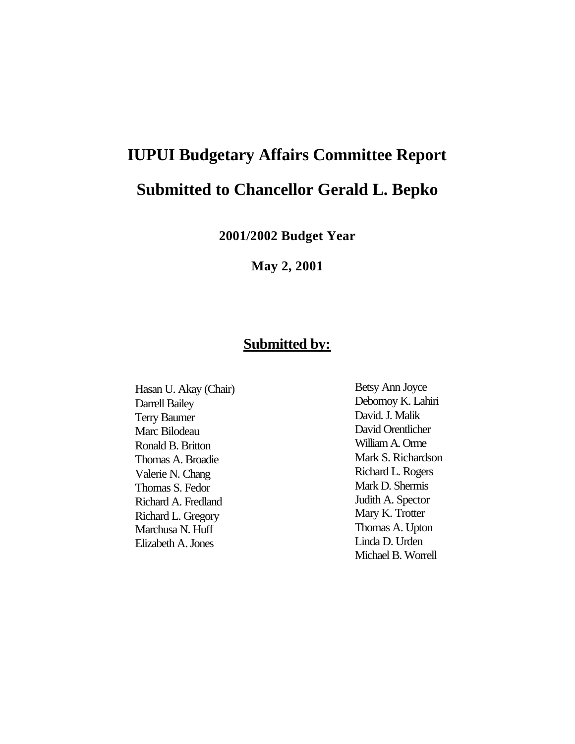# **IUPUI Budgetary Affairs Committee Report Submitted to Chancellor Gerald L. Bepko**

**2001/2002 Budget Year**

**May 2, 2001**

# **Submitted by:**

Hasan U. Akay (Chair) Darrell Bailey Terry Baumer Marc Bilodeau Ronald B. Britton Thomas A. Broadie Valerie N. Chang Thomas S. Fedor Richard A. Fredland Richard L. Gregory Marchusa N. Huff Elizabeth A. Jones

Betsy Ann Joyce Debomoy K. Lahiri David. J. Malik David Orentlicher William A. Orme Mark S. Richardson Richard L. Rogers Mark D. Shermis Judith A. Spector Mary K. Trotter Thomas A. Upton Linda D. Urden Michael B. Worrell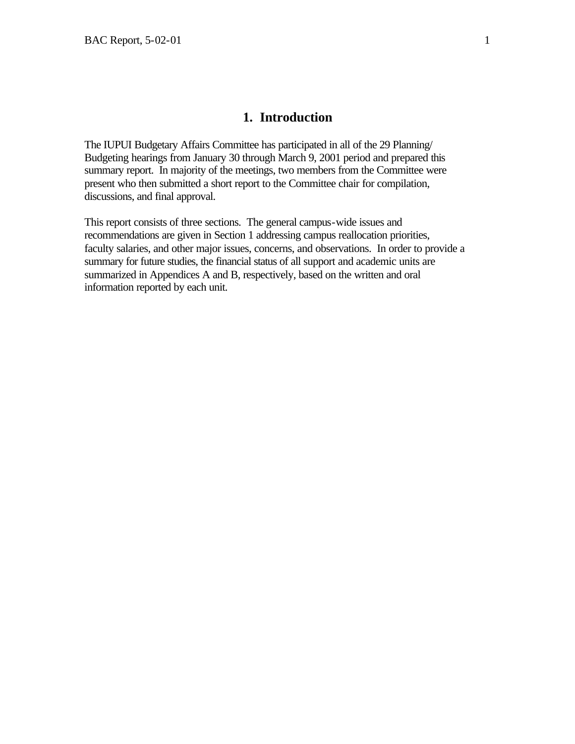## **1. Introduction**

The IUPUI Budgetary Affairs Committee has participated in all of the 29 Planning/ Budgeting hearings from January 30 through March 9, 2001 period and prepared this summary report. In majority of the meetings, two members from the Committee were present who then submitted a short report to the Committee chair for compilation, discussions, and final approval.

This report consists of three sections. The general campus-wide issues and recommendations are given in Section 1 addressing campus reallocation priorities, faculty salaries, and other major issues, concerns, and observations. In order to provide a summary for future studies, the financial status of all support and academic units are summarized in Appendices A and B, respectively, based on the written and oral information reported by each unit.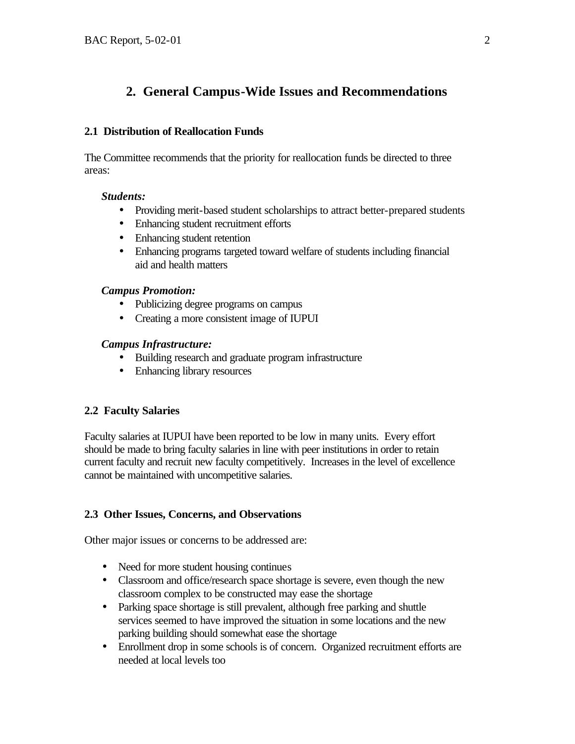# **2. General Campus-Wide Issues and Recommendations**

#### **2.1 Distribution of Reallocation Funds**

The Committee recommends that the priority for reallocation funds be directed to three areas:

#### *Students:*

- Providing merit-based student scholarships to attract better-prepared students
- Enhancing student recruitment efforts
- Enhancing student retention
- Enhancing programs targeted toward welfare of students including financial aid and health matters

## *Campus Promotion:*

- Publicizing degree programs on campus
- Creating a more consistent image of IUPUI

#### *Campus Infrastructure:*

- Building research and graduate program infrastructure
- Enhancing library resources

# **2.2 Faculty Salaries**

Faculty salaries at IUPUI have been reported to be low in many units. Every effort should be made to bring faculty salaries in line with peer institutions in order to retain current faculty and recruit new faculty competitively. Increases in the level of excellence cannot be maintained with uncompetitive salaries.

# **2.3 Other Issues, Concerns, and Observations**

Other major issues or concerns to be addressed are:

- Need for more student housing continues
- Classroom and office/research space shortage is severe, even though the new classroom complex to be constructed may ease the shortage
- Parking space shortage is still prevalent, although free parking and shuttle services seemed to have improved the situation in some locations and the new parking building should somewhat ease the shortage
- Enrollment drop in some schools is of concern. Organized recruitment efforts are needed at local levels too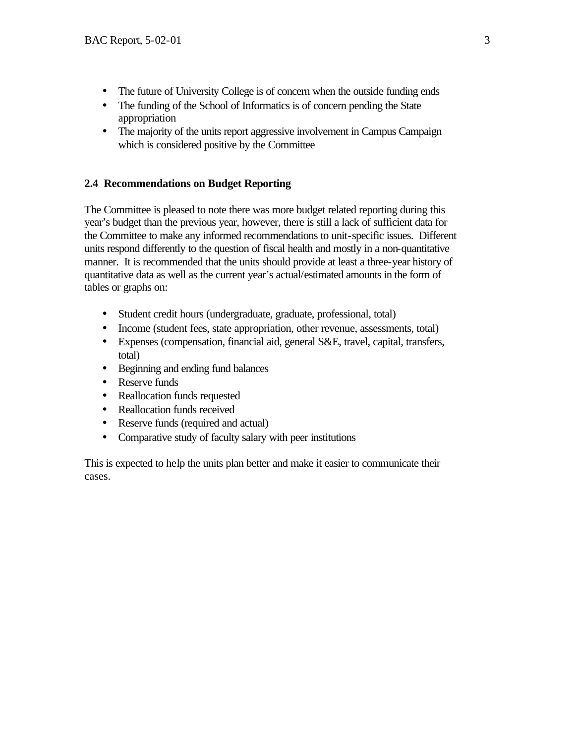- The future of University College is of concern when the outside funding ends
- The funding of the School of Informatics is of concern pending the State appropriation
- The majority of the units report aggressive involvement in Campus Campaign which is considered positive by the Committee

# **2.4 Recommendations on Budget Reporting**

The Committee is pleased to note there was more budget related reporting during this year's budget than the previous year, however, there is still a lack of sufficient data for the Committee to make any informed recommendations to unit-specific issues. Different units respond differently to the question of fiscal health and mostly in a non-quantitative manner. It is recommended that the units should provide at least a three-year history of quantitative data as well as the current year's actual/estimated amounts in the form of tables or graphs on:

- Student credit hours (undergraduate, graduate, professional, total)
- Income (student fees, state appropriation, other revenue, assessments, total)
- Expenses (compensation, financial aid, general S&E, travel, capital, transfers, total)
- Beginning and ending fund balances
- Reserve funds
- Reallocation funds requested
- Reallocation funds received
- Reserve funds (required and actual)
- Comparative study of faculty salary with peer institutions

This is expected to help the units plan better and make it easier to communicate their cases.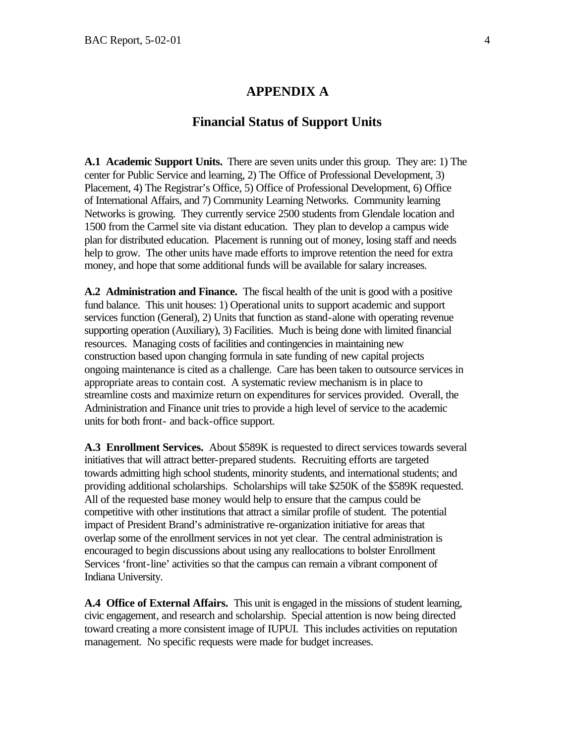## **APPENDIX A**

#### **Financial Status of Support Units**

**A.1 Academic Support Units.** There are seven units under this group. They are: 1) The center for Public Service and learning, 2) The Office of Professional Development, 3) Placement, 4) The Registrar's Office, 5) Office of Professional Development, 6) Office of International Affairs, and 7) Community Learning Networks. Community learning Networks is growing. They currently service 2500 students from Glendale location and 1500 from the Carmel site via distant education. They plan to develop a campus wide plan for distributed education. Placement is running out of money, losing staff and needs help to grow. The other units have made efforts to improve retention the need for extra money, and hope that some additional funds will be available for salary increases.

**A.2 Administration and Finance.** The fiscal health of the unit is good with a positive fund balance. This unit houses: 1) Operational units to support academic and support services function (General), 2) Units that function as stand-alone with operating revenue supporting operation (Auxiliary), 3) Facilities. Much is being done with limited financial resources. Managing costs of facilities and contingencies in maintaining new construction based upon changing formula in sate funding of new capital projects ongoing maintenance is cited as a challenge. Care has been taken to outsource services in appropriate areas to contain cost. A systematic review mechanism is in place to streamline costs and maximize return on expenditures for services provided. Overall, the Administration and Finance unit tries to provide a high level of service to the academic units for both front- and back-office support.

**A.3 Enrollment Services.** About \$589K is requested to direct services towards several initiatives that will attract better-prepared students. Recruiting efforts are targeted towards admitting high school students, minority students, and international students; and providing additional scholarships. Scholarships will take \$250K of the \$589K requested. All of the requested base money would help to ensure that the campus could be competitive with other institutions that attract a similar profile of student. The potential impact of President Brand's administrative re-organization initiative for areas that overlap some of the enrollment services in not yet clear. The central administration is encouraged to begin discussions about using any reallocations to bolster Enrollment Services 'front-line' activities so that the campus can remain a vibrant component of Indiana University.

**A.4 Office of External Affairs.** This unit is engaged in the missions of student learning, civic engagement, and research and scholarship. Special attention is now being directed toward creating a more consistent image of IUPUI. This includes activities on reputation management. No specific requests were made for budget increases.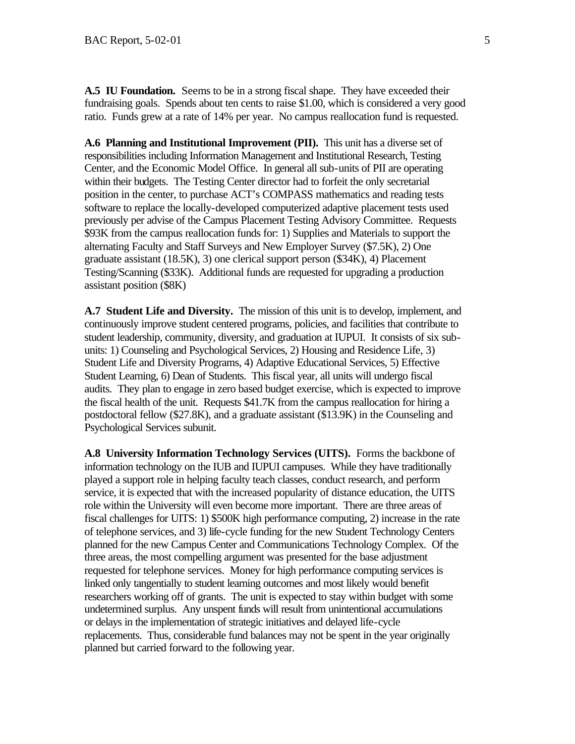**A.5 IU Foundation.** Seems to be in a strong fiscal shape. They have exceeded their fundraising goals. Spends about ten cents to raise \$1.00, which is considered a very good ratio. Funds grew at a rate of 14% per year. No campus reallocation fund is requested.

**A.6 Planning and Institutional Improvement (PII).** This unit has a diverse set of responsibilities including Information Management and Institutional Research, Testing Center, and the Economic Model Office. In general all sub-units of PII are operating within their budgets. The Testing Center director had to forfeit the only secretarial position in the center, to purchase ACT's COMPASS mathematics and reading tests software to replace the locally-developed computerized adaptive placement tests used previously per advise of the Campus Placement Testing Advisory Committee. Requests \$93K from the campus reallocation funds for: 1) Supplies and Materials to support the alternating Faculty and Staff Surveys and New Employer Survey (\$7.5K), 2) One graduate assistant (18.5K), 3) one clerical support person (\$34K), 4) Placement Testing/Scanning (\$33K). Additional funds are requested for upgrading a production assistant position (\$8K)

**A.7 Student Life and Diversity.** The mission of this unit is to develop, implement, and continuously improve student centered programs, policies, and facilities that contribute to student leadership, community, diversity, and graduation at IUPUI. It consists of six subunits: 1) Counseling and Psychological Services, 2) Housing and Residence Life, 3) Student Life and Diversity Programs, 4) Adaptive Educational Services, 5) Effective Student Learning, 6) Dean of Students. This fiscal year, all units will undergo fiscal audits. They plan to engage in zero based budget exercise, which is expected to improve the fiscal health of the unit. Requests \$41.7K from the campus reallocation for hiring a postdoctoral fellow (\$27.8K), and a graduate assistant (\$13.9K) in the Counseling and Psychological Services subunit.

**A.8 University Information Technology Services (UITS).** Forms the backbone of information technology on the IUB and IUPUI campuses. While they have traditionally played a support role in helping faculty teach classes, conduct research, and perform service, it is expected that with the increased popularity of distance education, the UITS role within the University will even become more important. There are three areas of fiscal challenges for UITS: 1) \$500K high performance computing, 2) increase in the rate of telephone services, and 3) life-cycle funding for the new Student Technology Centers planned for the new Campus Center and Communications Technology Complex. Of the three areas, the most compelling argument was presented for the base adjustment requested for telephone services. Money for high performance computing services is linked only tangentially to student learning outcomes and most likely would benefit researchers working off of grants. The unit is expected to stay within budget with some undetermined surplus.Any unspent funds will result from unintentional accumulations or delays in the implementation of strategic initiatives and delayed life-cycle replacements. Thus, considerable fund balances may not be spent in the year originally planned but carried forward to the following year.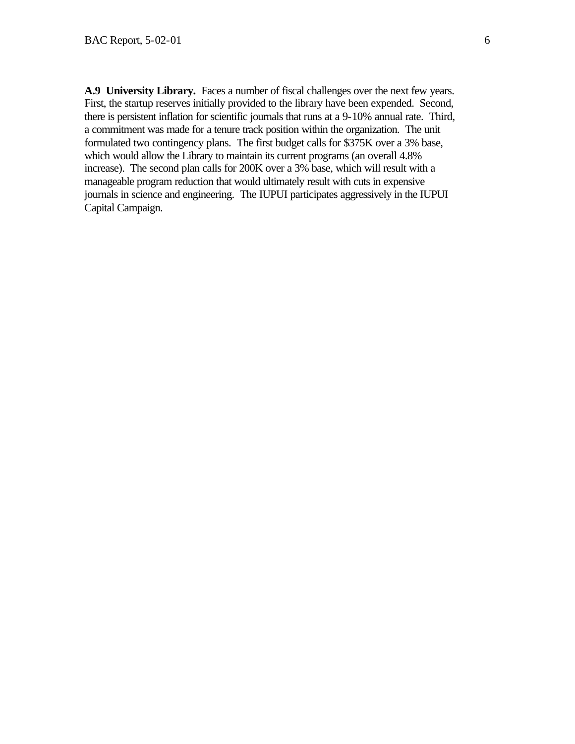**A.9 University Library.** Faces a number of fiscal challenges over the next few years. First, the startup reserves initially provided to the library have been expended. Second, there is persistent inflation for scientific journals that runs at a 9-10% annual rate. Third, a commitment was made for a tenure track position within the organization. The unit formulated two contingency plans. The first budget calls for \$375K over a 3% base, which would allow the Library to maintain its current programs (an overall  $4.8\%$ ) increase). The second plan calls for 200K over a 3% base, which will result with a manageable program reduction that would ultimately result with cuts in expensive journals in science and engineering. The IUPUI participates aggressively in the IUPUI Capital Campaign.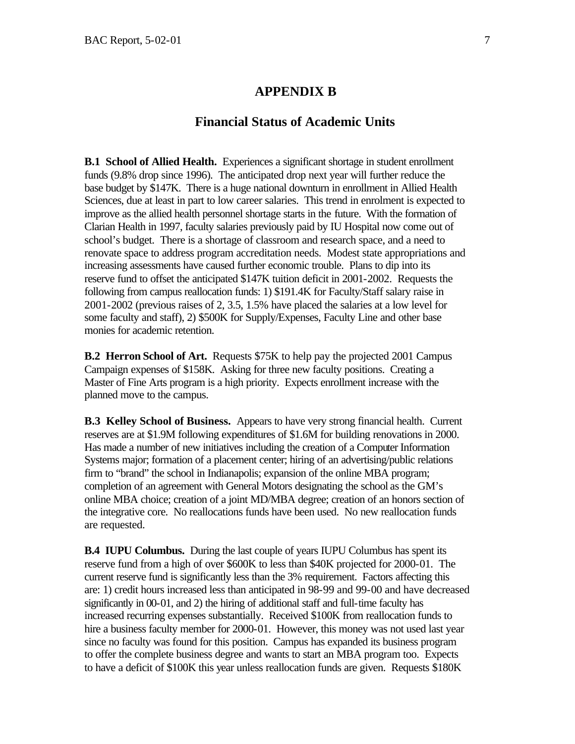#### **APPENDIX B**

#### **Financial Status of Academic Units**

**B.1 School of Allied Health.** Experiences a significant shortage in student enrollment funds (9.8% drop since 1996). The anticipated drop next year will further reduce the base budget by \$147K. There is a huge national downturn in enrollment in Allied Health Sciences, due at least in part to low career salaries. This trend in enrolment is expected to improve as the allied health personnel shortage starts in the future. With the formation of Clarian Health in 1997, faculty salaries previously paid by IU Hospital now come out of school's budget. There is a shortage of classroom and research space, and a need to renovate space to address program accreditation needs. Modest state appropriations and increasing assessments have caused further economic trouble. Plans to dip into its reserve fund to offset the anticipated \$147K tuition deficit in 2001-2002. Requests the following from campus reallocation funds: 1) \$191.4K for Faculty/Staff salary raise in 2001-2002 (previous raises of 2, 3.5, 1.5% have placed the salaries at a low level for some faculty and staff), 2) \$500K for Supply/Expenses, Faculty Line and other base monies for academic retention.

**B.2 Herron School of Art.** Requests \$75K to help pay the projected 2001 Campus Campaign expenses of \$158K. Asking for three new faculty positions. Creating a Master of Fine Arts program is a high priority. Expects enrollment increase with the planned move to the campus.

**B.3 Kelley School of Business.** Appears to have very strong financial health. Current reserves are at \$1.9M following expenditures of \$1.6M for building renovations in 2000. Has made a number of new initiatives including the creation of a Computer Information Systems major; formation of a placement center; hiring of an advertising/public relations firm to "brand" the school in Indianapolis; expansion of the online MBA program; completion of an agreement with General Motors designating the school as the GM's online MBA choice; creation of a joint MD/MBA degree; creation of an honors section of the integrative core. No reallocations funds have been used. No new reallocation funds are requested.

**B.4 IUPU Columbus.** During the last couple of years IUPU Columbus has spent its reserve fund from a high of over \$600K to less than \$40K projected for 2000-01. The current reserve fund is significantly less than the 3% requirement. Factors affecting this are: 1) credit hours increased less than anticipated in 98-99 and 99-00 and have decreased significantly in 00-01, and 2) the hiring of additional staff and full-time faculty has increased recurring expenses substantially. Received \$100K from reallocation funds to hire a business faculty member for 2000-01. However, this money was not used last year since no faculty was found for this position. Campus has expanded its business program to offer the complete business degree and wants to start an MBA program too. Expects to have a deficit of \$100K this year unless reallocation funds are given. Requests \$180K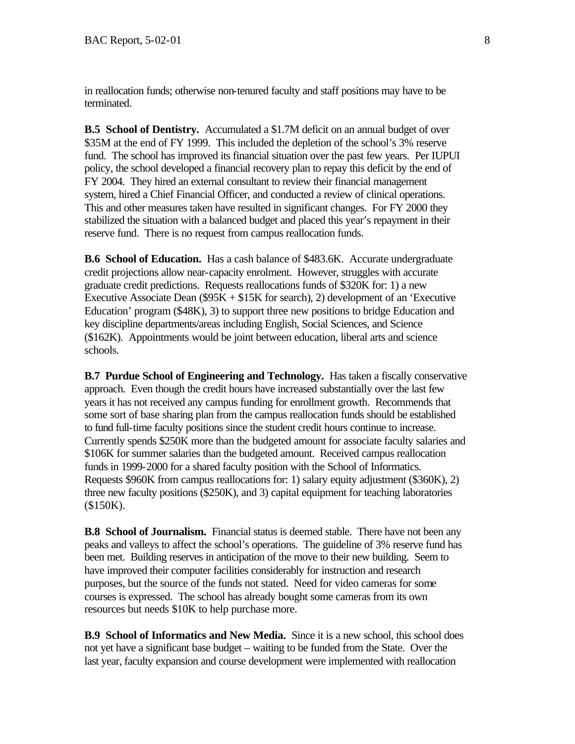in reallocation funds; otherwise non-tenured faculty and staff positions may have to be terminated.

**B.5 School of Dentistry.** Accumulated a \$1.7M deficit on an annual budget of over \$35M at the end of FY 1999. This included the depletion of the school's 3% reserve fund. The school has improved its financial situation over the past few years. Per IUPUI policy, the school developed a financial recovery plan to repay this deficit by the end of FY 2004. They hired an external consultant to review their financial management system, hired a Chief Financial Officer, and conducted a review of clinical operations. This and other measures taken have resulted in significant changes. For FY 2000 they stabilized the situation with a balanced budget and placed this year's repayment in their reserve fund. There is no request from campus reallocation funds.

**B.6 School of Education.** Has a cash balance of \$483.6K. Accurate undergraduate credit projections allow near-capacity enrolment. However, struggles with accurate graduate credit predictions. Requests reallocations funds of \$320K for: 1) a new Executive Associate Dean (\$95K + \$15K for search), 2) development of an 'Executive Education' program (\$48K), 3) to support three new positions to bridge Education and key discipline departments/areas including English, Social Sciences, and Science (\$162K). Appointments would be joint between education, liberal arts and science schools.

**B.7 Purdue School of Engineering and Technology.** Has taken a fiscally conservative approach. Even though the credit hours have increased substantially over the last few years it has not received any campus funding for enrollment growth. Recommends that some sort of base sharing plan from the campus reallocation funds should be established to fund full-time faculty positions since the student credit hours continue to increase. Currently spends \$250K more than the budgeted amount for associate faculty salaries and \$106K for summer salaries than the budgeted amount. Received campus reallocation funds in 1999-2000 for a shared faculty position with the School of Informatics. Requests \$960K from campus reallocations for: 1) salary equity adjustment (\$360K), 2) three new faculty positions (\$250K), and 3) capital equipment for teaching laboratories (\$150K).

**B.8 School of Journalism.** Financial status is deemed stable. There have not been any peaks and valleys to affect the school's operations. The guideline of 3% reserve fund has been met. Building reserves in anticipation of the move to their new building. Seem to have improved their computer facilities considerably for instruction and research purposes, but the source of the funds not stated. Need for video cameras for some courses is expressed. The school has already bought some cameras from its own resources but needs \$10K to help purchase more.

**B.9 School of Informatics and New Media.** Since it is a new school, this school does not yet have a significant base budget – waiting to be funded from the State. Over the last year, faculty expansion and course development were implemented with reallocation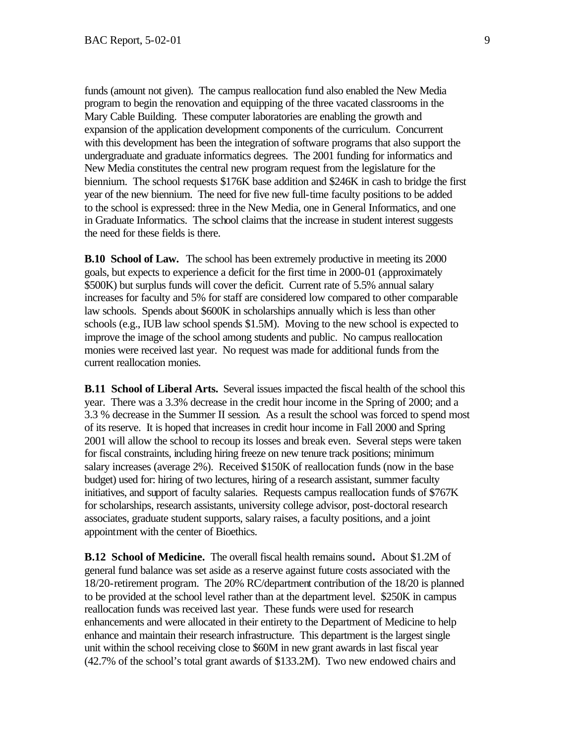funds (amount not given). The campus reallocation fund also enabled the New Media program to begin the renovation and equipping of the three vacated classrooms in the Mary Cable Building. These computer laboratories are enabling the growth and expansion of the application development components of the curriculum. Concurrent with this development has been the integration of software programs that also support the undergraduate and graduate informatics degrees. The 2001 funding for informatics and New Media constitutes the central new program request from the legislature for the biennium. The school requests \$176K base addition and \$246K in cash to bridge the first year of the new biennium. The need for five new full-time faculty positions to be added to the school is expressed: three in the New Media, one in General Informatics, and one in Graduate Informatics. The school claims that the increase in student interest suggests the need for these fields is there.

**B.10 School of Law.** The school has been extremely productive in meeting its 2000 goals, but expects to experience a deficit for the first time in 2000-01 (approximately \$500K) but surplus funds will cover the deficit. Current rate of 5.5% annual salary increases for faculty and 5% for staff are considered low compared to other comparable law schools. Spends about \$600K in scholarships annually which is less than other schools (e.g., IUB law school spends \$1.5M). Moving to the new school is expected to improve the image of the school among students and public. No campus reallocation monies were received last year. No request was made for additional funds from the current reallocation monies.

**B.11 School of Liberal Arts.** Several issues impacted the fiscal health of the school this year. There was a 3.3% decrease in the credit hour income in the Spring of 2000; and a 3.3 % decrease in the Summer II session. As a result the school was forced to spend most of its reserve. It is hoped that increases in credit hour income in Fall 2000 and Spring 2001 will allow the school to recoup its losses and break even. Several steps were taken for fiscal constraints, including hiring freeze on new tenure track positions; minimum salary increases (average 2%). Received \$150K of reallocation funds (now in the base budget) used for: hiring of two lectures, hiring of a research assistant, summer faculty initiatives, and support of faculty salaries. Requests campus reallocation funds of \$767K for scholarships, research assistants, university college advisor, post-doctoral research associates, graduate student supports, salary raises, a faculty positions, and a joint appointment with the center of Bioethics.

**B.12 School of Medicine.** The overall fiscal health remains sound**.** About \$1.2M of general fund balance was set aside as a reserve against future costs associated with the 18/20-retirement program. The 20% RC/department contribution of the 18/20 is planned to be provided at the school level rather than at the department level. \$250K in campus reallocation funds was received last year. These funds were used for research enhancements and were allocated in their entirety to the Department of Medicine to help enhance and maintain their research infrastructure. This department is the largest single unit within the school receiving close to \$60M in new grant awards in last fiscal year (42.7% of the school's total grant awards of \$133.2M). Two new endowed chairs and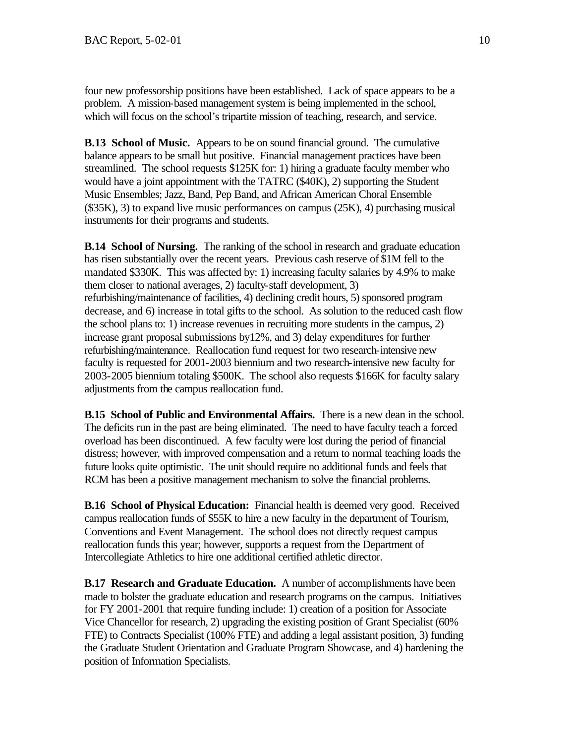four new professorship positions have been established. Lack of space appears to be a problem. A mission-based management system is being implemented in the school, which will focus on the school's tripartite mission of teaching, research, and service.

**B.13 School of Music.** Appears to be on sound financial ground. The cumulative balance appears to be small but positive. Financial management practices have been streamlined. The school requests \$125K for: 1) hiring a graduate faculty member who would have a joint appointment with the TATRC (\$40K), 2) supporting the Student Music Ensembles; Jazz, Band, Pep Band, and African American Choral Ensemble (\$35K), 3) to expand live music performances on campus (25K), 4) purchasing musical instruments for their programs and students.

**B.14 School of Nursing.** The ranking of the school in research and graduate education has risen substantially over the recent years. Previous cash reserve of \$1M fell to the mandated \$330K. This was affected by: 1) increasing faculty salaries by 4.9% to make them closer to national averages, 2) faculty-staff development, 3) refurbishing/maintenance of facilities, 4) declining credit hours, 5) sponsored program decrease, and 6) increase in total gifts to the school. As solution to the reduced cash flow the school plans to: 1) increase revenues in recruiting more students in the campus, 2) increase grant proposal submissions by12%, and 3) delay expenditures for further refurbishing/maintenance. Reallocation fund request for two research-intensive new faculty is requested for 2001-2003 biennium and two research-intensive new faculty for 2003-2005 biennium totaling \$500K. The school also requests \$166K for faculty salary adjustments from the campus reallocation fund.

**B.15 School of Public and Environmental Affairs.** There is a new dean in the school. The deficits run in the past are being eliminated. The need to have faculty teach a forced overload has been discontinued. A few faculty were lost during the period of financial distress; however, with improved compensation and a return to normal teaching loads the future looks quite optimistic. The unit should require no additional funds and feels that RCM has been a positive management mechanism to solve the financial problems.

**B.16 School of Physical Education:** Financial health is deemed very good. Received campus reallocation funds of \$55K to hire a new faculty in the department of Tourism, Conventions and Event Management. The school does not directly request campus reallocation funds this year; however, supports a request from the Department of Intercollegiate Athletics to hire one additional certified athletic director.

**B.17 Research and Graduate Education.** A number of accomplishments have been made to bolster the graduate education and research programs on the campus. Initiatives for FY 2001-2001 that require funding include: 1) creation of a position for Associate Vice Chancellor for research, 2) upgrading the existing position of Grant Specialist (60% FTE) to Contracts Specialist (100% FTE) and adding a legal assistant position, 3) funding the Graduate Student Orientation and Graduate Program Showcase, and 4) hardening the position of Information Specialists.